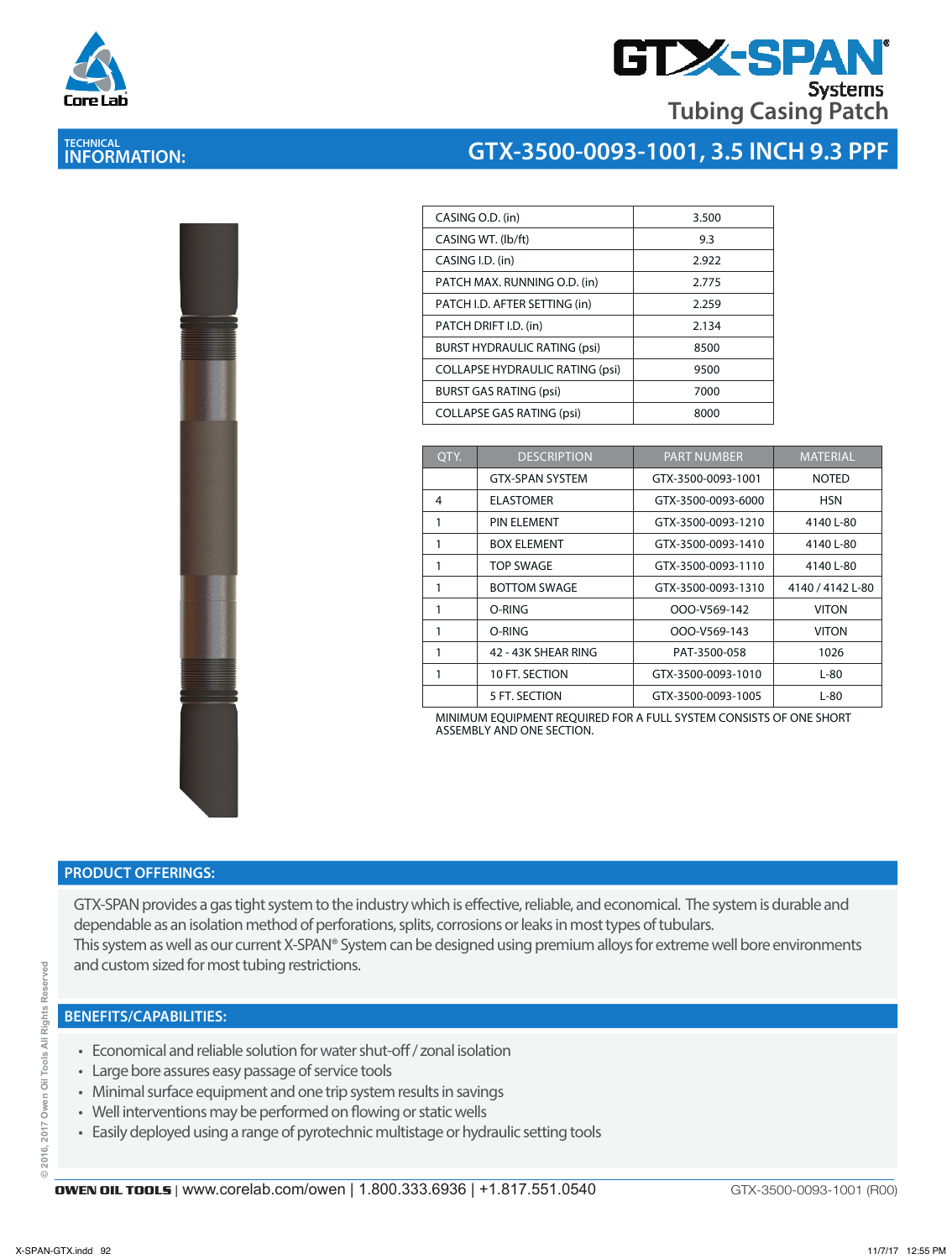

**TECHNICAL INFORMATION:** 

## **GTX-SPA Systems Tubing Casing Patch**

## **GTX-3500-0093-1001, 3.5 INCH 9.3 PPF**

| CASING O.D. (in)                       | 3.500                         |                 |
|----------------------------------------|-------------------------------|-----------------|
| CASING WT. (lb/ft)                     | 9.3                           |                 |
| CASING I.D. (in)                       | 2.922                         |                 |
| PATCH MAX. RUNNING O.D. (in)           | 2.775                         |                 |
|                                        | PATCH I.D. AFTER SETTING (in) | 2.259           |
|                                        | PATCH DRIFT I.D. (in)         | 2.134           |
| <b>BURST HYDRAULIC RATING (psi)</b>    | 8500                          |                 |
| <b>COLLAPSE HYDRAULIC RATING (psi)</b> | 9500                          |                 |
| <b>BURST GAS RATING (psi)</b>          | 7000                          |                 |
| <b>COLLAPSE GAS RATING (psi)</b>       | 8000                          |                 |
|                                        |                               |                 |
| OTY.                                   | <b>DESCRIPTION</b>            | <b>PART NUM</b> |
|                                        | <b>GTX-SPAN SYSTEM</b>        | GTX-3500-00     |
| 4                                      | <b>ELASTOMER</b>              | GTX-3500-00     |
| 1                                      | PIN ELEMENT                   | GTX-3500-00     |

| OTY. | <b>DESCRIPTION</b>     | <b>PART NUMBER</b> | <b>MATERIAL</b>  |
|------|------------------------|--------------------|------------------|
|      | <b>GTX-SPAN SYSTEM</b> | GTX-3500-0093-1001 | <b>NOTED</b>     |
| 4    | <b>ELASTOMER</b>       | GTX-3500-0093-6000 | <b>HSN</b>       |
|      | PIN ELEMENT            | GTX-3500-0093-1210 | 4140 L-80        |
| 1    | <b>BOX ELEMENT</b>     | GTX-3500-0093-1410 | 4140 L-80        |
| 1    | <b>TOP SWAGE</b>       | GTX-3500-0093-1110 | 4140 L-80        |
| 1    | <b>BOTTOM SWAGE</b>    | GTX-3500-0093-1310 | 4140 / 4142 L-80 |
|      | O-RING                 | OOO-V569-142       | <b>VITON</b>     |
|      | O-RING                 | OOO-V569-143       | <b>VITON</b>     |
|      | 42 - 43K SHEAR RING    | PAT-3500-058       | 1026             |
|      | 10 FT. SECTION         | GTX-3500-0093-1010 | $L-80$           |
|      | 5 FT. SECTION          | GTX-3500-0093-1005 | $L-80$           |

MINIMUM EQUIPMENT REQUIRED FOR A FULL SYSTEM CONSISTS OF ONE SHORT ASSEMBLY AND ONE SECTION.

### **PRODUCT OFFERINGS:**

GTX-SPAN provides a gas tight system to the industry which is effective, reliable, and economical. The system is durable and dependable as an isolation method of perforations, splits, corrosions or leaks in most types of tubulars. This system as well as our current X-SPAN® System can be designed using premium alloys for extreme well bore environments and custom sized for most tubing restrictions.

#### **BENEFITS/CAPABILITIES:**

- Economical and reliable solution for water shut-off / zonal isolation
- Large bore assures easy passage of service tools
- Minimal surface equipment and one trip system results in savings
- Well interventions may be performed on flowing or static wells
- Easily deployed using a range of pyrotechnic multistage or hydraulic setting tools

GTX-3500-0093-1001 (R00)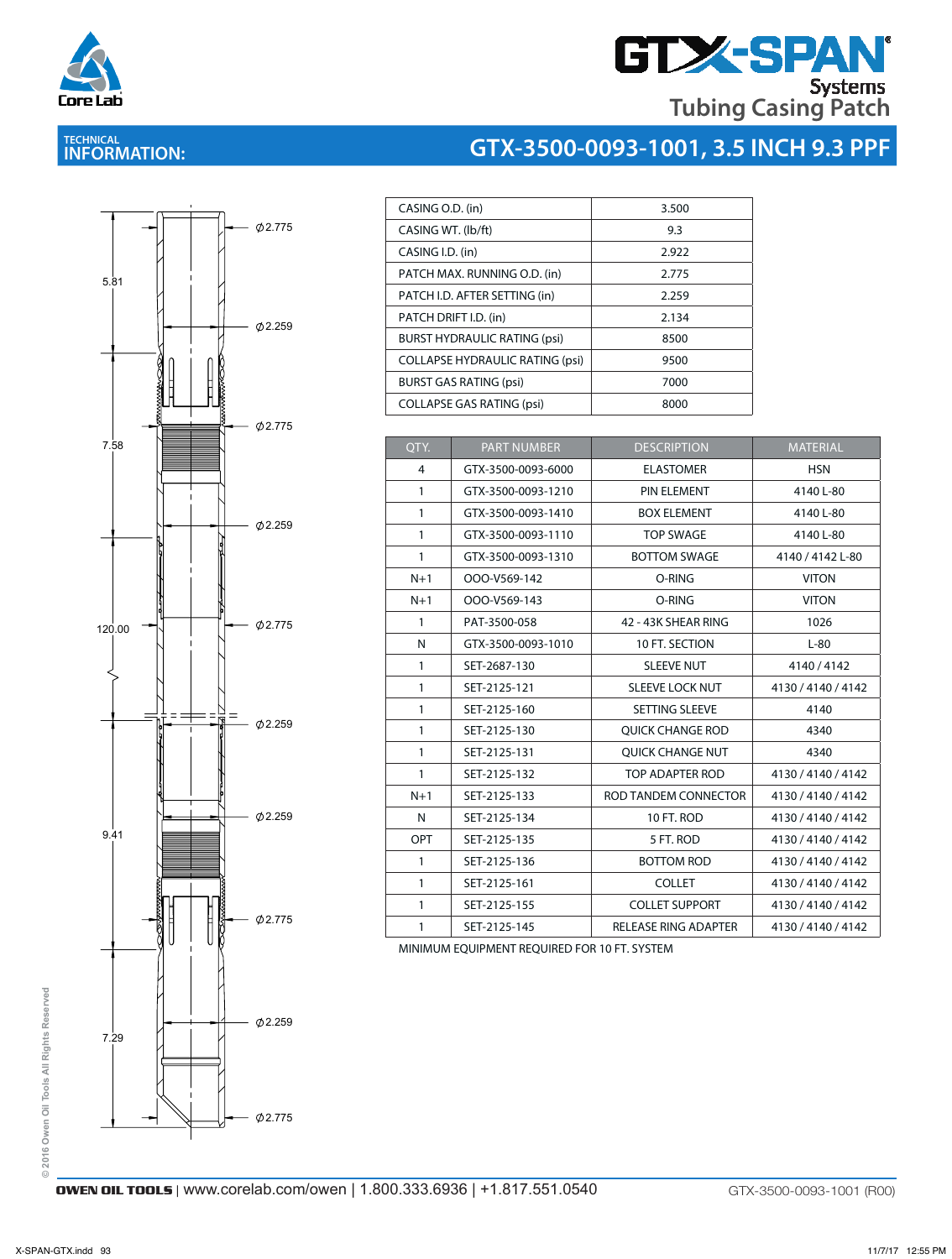

## **GTX-SPAN Tubing Casing Patch**

**GTX-3500-0093-1001, 3.5 INCH 9.3 PPF**

### **TECHNICAL INFORMATION:**



| CASING O.D. (in)                       | 3.500 |
|----------------------------------------|-------|
| CASING WT. (lb/ft)                     | 9.3   |
| CASING I.D. (in)                       | 2.922 |
| PATCH MAX. RUNNING O.D. (in)           | 2.775 |
| PATCH I.D. AFTER SETTING (in)          | 2.259 |
| PATCH DRIFT I.D. (in)                  | 2.134 |
| <b>BURST HYDRAULIC RATING (psi)</b>    | 8500  |
| <b>COLLAPSE HYDRAULIC RATING (psi)</b> | 9500  |
| <b>BURST GAS RATING (psi)</b>          | 7000  |
| <b>COLLAPSE GAS RATING (psi)</b>       | 8000  |
|                                        |       |

| QTY.                                         | <b>PART NUMBER</b> | <b>DESCRIPTION</b>          | <b>MATERIAL</b>    |  |  |  |
|----------------------------------------------|--------------------|-----------------------------|--------------------|--|--|--|
| 4                                            | GTX-3500-0093-6000 | <b>ELASTOMER</b>            | <b>HSN</b>         |  |  |  |
| $\mathbf{1}$                                 | GTX-3500-0093-1210 | PIN ELEMENT                 | 4140 L-80          |  |  |  |
| $\mathbf{1}$                                 | GTX-3500-0093-1410 | <b>BOX ELEMENT</b>          | 4140 L-80          |  |  |  |
| $\mathbf{1}$                                 | GTX-3500-0093-1110 | <b>TOP SWAGE</b>            | 4140 L-80          |  |  |  |
| $\mathbf{1}$                                 | GTX-3500-0093-1310 | <b>BOTTOM SWAGE</b>         | 4140 / 4142 L-80   |  |  |  |
| $N+1$                                        | OOO-V569-142       | O-RING                      | <b>VITON</b>       |  |  |  |
| $N+1$                                        | OOO-V569-143       | O-RING                      | <b>VITON</b>       |  |  |  |
| $\mathbf{1}$                                 | PAT-3500-058       | 42 - 43K SHEAR RING         | 1026               |  |  |  |
| N                                            | GTX-3500-0093-1010 | 10 FT. SECTION              | $L-80$             |  |  |  |
| $\mathbf{1}$                                 | SET-2687-130       | <b>SLEEVE NUT</b>           | 4140/4142          |  |  |  |
| $\mathbf{1}$                                 | SET-2125-121       | <b>SLEEVE LOCK NUT</b>      | 4130 / 4140 / 4142 |  |  |  |
| $\mathbf{1}$                                 | SET-2125-160       | SETTING SLEEVE              | 4140               |  |  |  |
| $\mathbf{1}$                                 | SET-2125-130       | <b>OUICK CHANGE ROD</b>     | 4340               |  |  |  |
| $\mathbf{1}$                                 | SET-2125-131       | <b>QUICK CHANGE NUT</b>     | 4340               |  |  |  |
| $\mathbf{1}$                                 | SET-2125-132       | TOP ADAPTER ROD             | 4130 / 4140 / 4142 |  |  |  |
| $N+1$                                        | SET-2125-133       | ROD TANDEM CONNECTOR        | 4130 / 4140 / 4142 |  |  |  |
| N                                            | SET-2125-134       | 10 FT. ROD                  | 4130 / 4140 / 4142 |  |  |  |
| <b>OPT</b>                                   | SET-2125-135       | 5 FT. ROD                   | 4130 / 4140 / 4142 |  |  |  |
| $\mathbf{1}$                                 | SET-2125-136       | <b>BOTTOM ROD</b>           | 4130 / 4140 / 4142 |  |  |  |
| $\mathbf{1}$                                 | SET-2125-161       | <b>COLLET</b>               | 4130 / 4140 / 4142 |  |  |  |
| $\mathbf{1}$                                 | SET-2125-155       | <b>COLLET SUPPORT</b>       | 4130 / 4140 / 4142 |  |  |  |
| $\mathbf{1}$                                 | SET-2125-145       | <b>RELEASE RING ADAPTER</b> | 4130 / 4140 / 4142 |  |  |  |
| MINIMUM EQUIPMENT REQUIRED FOR 10 FT. SYSTEM |                    |                             |                    |  |  |  |